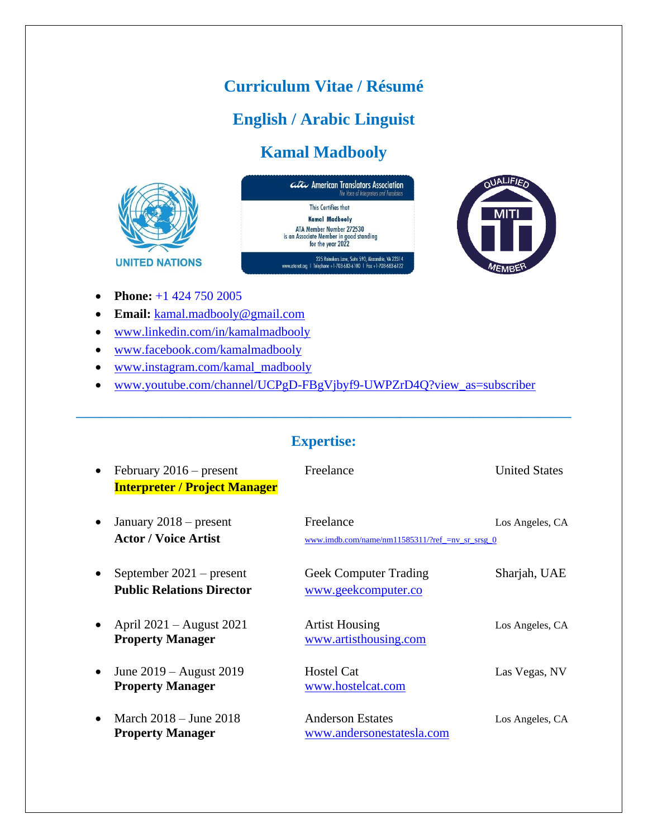## **Curriculum Vitae / Résumé**

## **English / Arabic Linguist**

# **Kamal Madbooly**







- **Phone:** +1 424 750 2005
- **Email:** [kamal.madbooly@gmail.com](mailto:kamal.madbooly@gmail.com)
- [www.linkedin.com/in/kamalmadbooly](http://www.linkedin.com/in/kamalmadbooly)
- [www.facebook.com/kamalmadbooly](http://www.facebook.com/kamalmadbooly)
- [www.instagram.com/kamal\\_madbooly](http://www.instagram.com/kamal_madbooly)
- [ww](http://www.youtube.com/channel/UCPgD-FBgVjbyf9-UWPZrD4Q?view_as=subscriber)w.youtube.com/channel/UCPgD-FBgVjbyf9-UWPZrD4Q?view\_as=subscriber

#### **Expertise:**

|           | February $2016$ – present<br><b>Interpreter / Project Manager</b> | Freelance                                                    | <b>United States</b> |
|-----------|-------------------------------------------------------------------|--------------------------------------------------------------|----------------------|
| $\bullet$ | January $2018$ – present<br><b>Actor</b> / Voice Artist           | Freelance<br>www.imdb.com/name/nm11585311/?ref_=nv_sr_srsg_0 | Los Angeles, CA      |
| $\bullet$ | September $2021$ – present<br><b>Public Relations Director</b>    | <b>Geek Computer Trading</b><br>www.geekcomputer.co          | Sharjah, UAE         |
|           | April $2021 -$ August 2021<br><b>Property Manager</b>             | <b>Artist Housing</b><br>www.artisthousing.com               | Los Angeles, CA      |
| $\bullet$ | June $2019 -$ August $2019$<br><b>Property Manager</b>            | <b>Hostel Cat</b><br>www.hostelcat.com                       | Las Vegas, NV        |
|           | March $2018 -$ June $2018$<br><b>Property Manager</b>             | <b>Anderson Estates</b><br>www.andersonestatesla.com         | Los Angeles, CA      |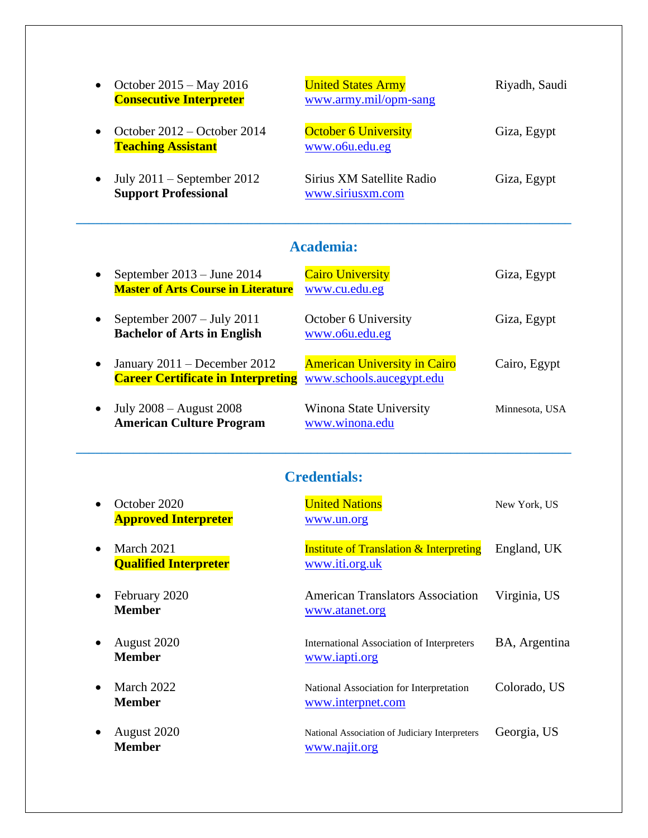| $\bullet$ | October $2015 - May 2016$<br><b>Consecutive Interpreter</b> | <b>United States Army</b><br>www.army.mil/opm-sang | Riyadh, Saudi |
|-----------|-------------------------------------------------------------|----------------------------------------------------|---------------|
|           | October $2012 -$ October 2014<br><b>Teaching Assistant</b>  | <b>October 6 University</b><br>www.o6u.edu.eg      | Giza, Egypt   |
| $\bullet$ | July $2011$ – September 2012<br><b>Support Professional</b> | Sirius XM Satellite Radio<br>www.siriusxm.com      | Giza, Egypt   |

### **Academia:**

**\_\_\_\_\_\_\_\_\_\_\_\_\_\_\_\_\_\_\_\_\_\_\_\_\_\_\_\_\_\_\_\_\_\_\_\_\_\_\_\_\_\_\_\_\_\_\_\_\_\_\_\_\_\_\_\_\_\_\_\_\_\_\_\_\_\_\_\_\_\_\_\_\_\_\_\_\_\_**

| $\bullet$ | September $2013 -$ June $2014$<br><b>Master of Arts Course in Literature</b>                         | <b>Cairo University</b><br>www.cu.edu.eg  | Giza, Egypt    |
|-----------|------------------------------------------------------------------------------------------------------|-------------------------------------------|----------------|
| $\bullet$ | September $2007 - \text{July } 2011$<br><b>Bachelor of Arts in English</b>                           | October 6 University<br>www.o6u.edu.eg    | Giza, Egypt    |
| $\bullet$ | January $2011 -$ December 2012<br><b>Career Certificate in Interpreting</b> www.schools.aucegypt.edu | <b>American University in Cairo</b>       | Cairo, Egypt   |
|           | July $2008 -$ August $2008$<br><b>American Culture Program</b>                                       | Winona State University<br>www.winona.edu | Minnesota, USA |

### **Credentials:**

|           | October 2020<br><b>Approved Interpreter</b> | <b>United Nations</b><br>www.un.org                                  | New York, US  |
|-----------|---------------------------------------------|----------------------------------------------------------------------|---------------|
|           | March 2021<br><b>Qualified Interpreter</b>  | <b>Institute of Translation &amp; Interpreting</b><br>www.iti.org.uk | England, UK   |
| $\bullet$ | February 2020<br><b>Member</b>              | <b>American Translators Association</b><br>www.atanet.org            | Virginia, US  |
| $\bullet$ | August 2020<br><b>Member</b>                | International Association of Interpreters<br>www.iapti.org           | BA, Argentina |
|           | March 2022<br><b>Member</b>                 | National Association for Interpretation<br>www.interpnet.com         | Colorado, US  |
| $\bullet$ | August 2020<br><b>Member</b>                | National Association of Judiciary Interpreters<br>www.najit.org      | Georgia, US   |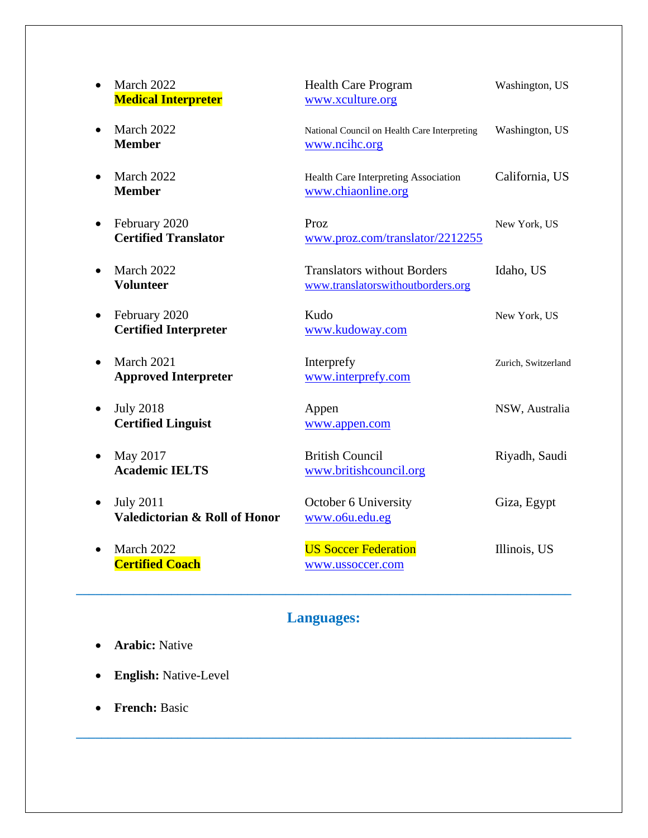| March 2022<br><b>Medical Interpreter</b>                          | <b>Health Care Program</b><br>www.xculture.org                          | Washington, US      |
|-------------------------------------------------------------------|-------------------------------------------------------------------------|---------------------|
| March 2022<br>$\bullet$<br><b>Member</b>                          | National Council on Health Care Interpreting<br>www.ncihc.org           | Washington, US      |
| March 2022<br><b>Member</b>                                       | Health Care Interpreting Association<br>www.chiaonline.org              | California, US      |
| February 2020<br>$\bullet$<br><b>Certified Translator</b>         | Proz<br>www.proz.com/translator/2212255                                 | New York, US        |
| March 2022<br>$\bullet$<br><b>Volunteer</b>                       | <b>Translators without Borders</b><br>www.translatorswithoutborders.org | Idaho, US           |
| February 2020<br>$\bullet$<br><b>Certified Interpreter</b>        | Kudo<br>www.kudoway.com                                                 | New York, US        |
| March 2021<br>$\bullet$<br><b>Approved Interpreter</b>            | Interprefy<br>www.interprefy.com                                        | Zurich, Switzerland |
| <b>July 2018</b><br>$\bullet$<br><b>Certified Linguist</b>        | Appen<br>www.appen.com                                                  | NSW, Australia      |
| May 2017<br><b>Academic IELTS</b>                                 | <b>British Council</b><br>www.britishcouncil.org                        | Riyadh, Saudi       |
| <b>July 2011</b><br>٠<br><b>Valedictorian &amp; Roll of Honor</b> | October 6 University<br>www.o6u.edu.eg                                  | Giza, Egypt         |
| March 2022<br>$\bullet$<br><b>Certified Coach</b>                 | <b>US Soccer Federation</b><br>www.ussoccer.com                         | Illinois, US        |

# **Languages:**

- **Arabic:** Native
- **English:** Native-Level
- **French:** Basic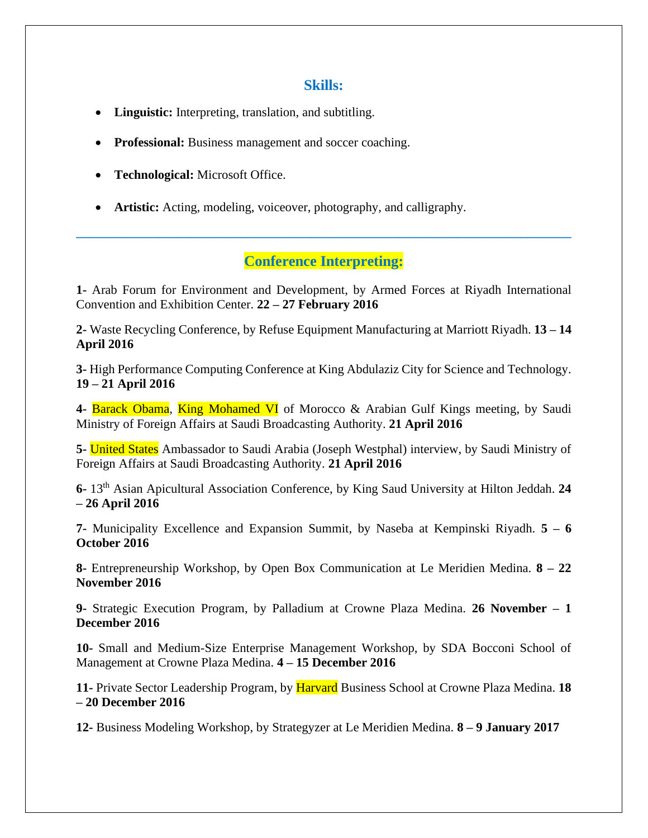#### **Skills:**

- **Linguistic:** Interpreting, translation, and subtitling.
- **Professional:** Business management and soccer coaching.
- **Technological:** Microsoft Office.
- **Artistic:** Acting, modeling, voiceover, photography, and calligraphy.

#### **Conference Interpreting:**

**\_\_\_\_\_\_\_\_\_\_\_\_\_\_\_\_\_\_\_\_\_\_\_\_\_\_\_\_\_\_\_\_\_\_\_\_\_\_\_\_\_\_\_\_\_\_\_\_\_\_\_\_\_\_\_\_\_\_\_\_\_\_\_\_\_\_\_\_\_\_\_\_\_\_\_\_\_\_**

**1-** Arab Forum for Environment and Development, by Armed Forces at Riyadh International Convention and Exhibition Center. **22 – 27 February 2016**

**2-** Waste Recycling Conference, by Refuse Equipment Manufacturing at Marriott Riyadh. **13 – 14 April 2016**

**3-** High Performance Computing Conference at King Abdulaziz City for Science and Technology. **19 – 21 April 2016**

**4-** Barack Obama, King Mohamed VI of Morocco & Arabian Gulf Kings meeting, by Saudi Ministry of Foreign Affairs at Saudi Broadcasting Authority. **21 April 2016**

**5-** United States Ambassador to Saudi Arabia (Joseph Westphal) interview, by Saudi Ministry of Foreign Affairs at Saudi Broadcasting Authority. **21 April 2016**

**6-** 13th Asian Apicultural Association Conference, by King Saud University at Hilton Jeddah. **24 – 26 April 2016**

**7-** Municipality Excellence and Expansion Summit, by Naseba at Kempinski Riyadh. **5 – 6 October 2016**

**8-** Entrepreneurship Workshop, by Open Box Communication at Le Meridien Medina. **8 – 22 November 2016**

**9-** Strategic Execution Program, by Palladium at Crowne Plaza Medina. **26 November – 1 December 2016**

**10-** Small and Medium-Size Enterprise Management Workshop, by SDA Bocconi School of Management at Crowne Plaza Medina. **4 – 15 December 2016**

**11-** Private Sector Leadership Program, by Harvard Business School at Crowne Plaza Medina. **18 – 20 December 2016**

**12-** Business Modeling Workshop, by Strategyzer at Le Meridien Medina. **8 – 9 January 2017**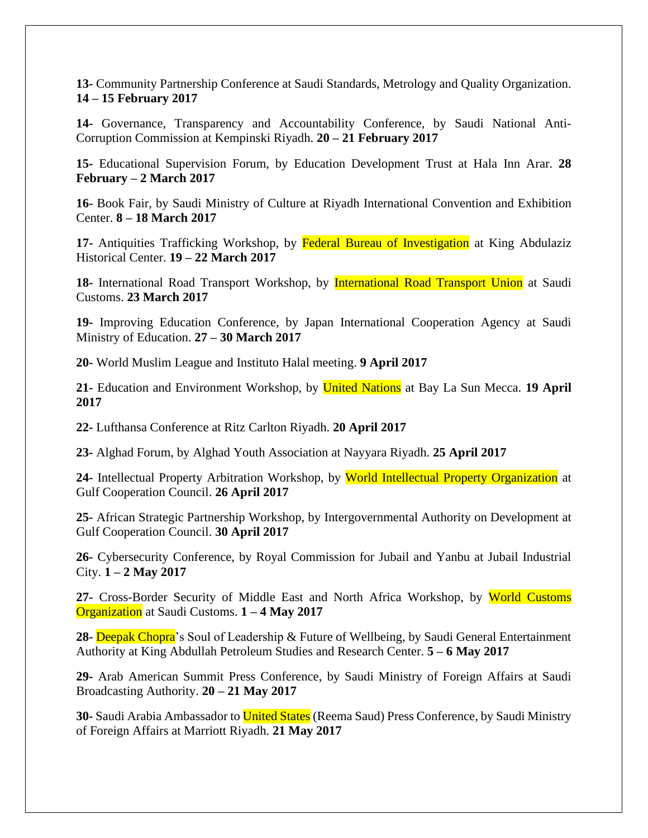**13-** Community Partnership Conference at Saudi Standards, Metrology and Quality Organization. **14 – 15 February 2017**

**14-** Governance, Transparency and Accountability Conference, by Saudi National Anti-Corruption Commission at Kempinski Riyadh. **20 – 21 February 2017**

**15-** Educational Supervision Forum, by Education Development Trust at Hala Inn Arar. **28 February – 2 March 2017**

**16-** Book Fair, by Saudi Ministry of Culture at Riyadh International Convention and Exhibition Center. **8 – 18 March 2017**

**17-** Antiquities Trafficking Workshop, by Federal Bureau of Investigation at King Abdulaziz Historical Center. **19 – 22 March 2017**

18- International Road Transport Workshop, by **International Road Transport Union** at Saudi Customs. **23 March 2017**

**19-** Improving Education Conference, by Japan International Cooperation Agency at Saudi Ministry of Education. **27 – 30 March 2017**

**20-** World Muslim League and Instituto Halal meeting. **9 April 2017**

**21-** Education and Environment Workshop, by United Nations at Bay La Sun Mecca. **19 April 2017**

**22-** Lufthansa Conference at Ritz Carlton Riyadh. **20 April 2017**

**23-** Alghad Forum, by Alghad Youth Association at Nayyara Riyadh. **25 April 2017**

**24-** Intellectual Property Arbitration Workshop, by World Intellectual Property Organization at Gulf Cooperation Council. **26 April 2017**

**25-** African Strategic Partnership Workshop, by Intergovernmental Authority on Development at Gulf Cooperation Council. **30 April 2017**

**26-** Cybersecurity Conference, by Royal Commission for Jubail and Yanbu at Jubail Industrial City. **1 – 2 May 2017**

**27-** Cross-Border Security of Middle East and North Africa Workshop, by World Customs Organization at Saudi Customs. **1 – 4 May 2017**

**28-** Deepak Chopra's Soul of Leadership & Future of Wellbeing, by Saudi General Entertainment Authority at King Abdullah Petroleum Studies and Research Center. **5 – 6 May 2017**

**29-** Arab American Summit Press Conference, by Saudi Ministry of Foreign Affairs at Saudi Broadcasting Authority. **20 – 21 May 2017**

**30-** Saudi Arabia Ambassador to United States (Reema Saud) Press Conference, by Saudi Ministry of Foreign Affairs at Marriott Riyadh. **21 May 2017**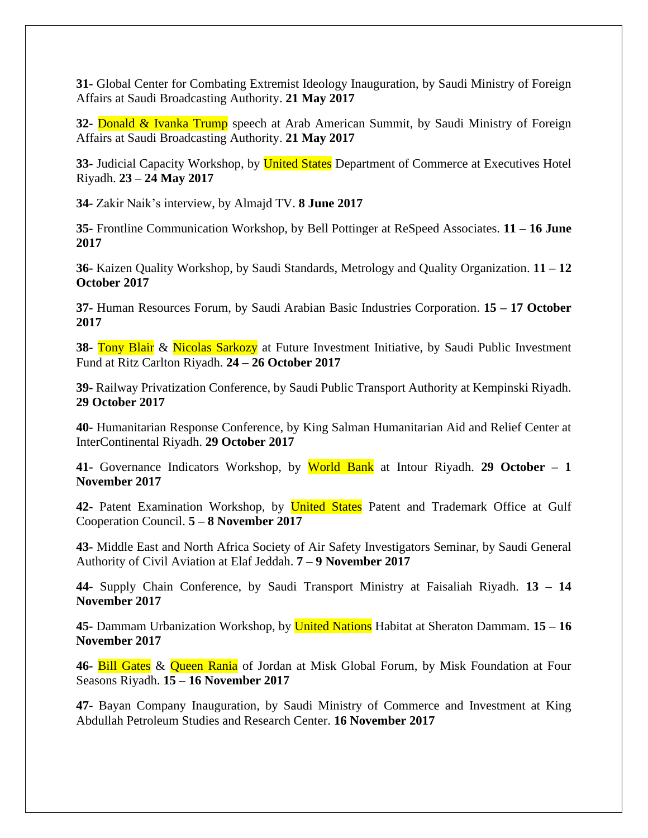**31-** Global Center for Combating Extremist Ideology Inauguration, by Saudi Ministry of Foreign Affairs at Saudi Broadcasting Authority. **21 May 2017**

**32-** Donald & Ivanka Trump speech at Arab American Summit, by Saudi Ministry of Foreign Affairs at Saudi Broadcasting Authority. **21 May 2017**

**33-** Judicial Capacity Workshop, by United States Department of Commerce at Executives Hotel Riyadh. **23 – 24 May 2017**

**34-** Zakir Naik's interview, by Almajd TV. **8 June 2017**

**35-** Frontline Communication Workshop, by Bell Pottinger at ReSpeed Associates. **11 – 16 June 2017**

**36-** Kaizen Quality Workshop, by Saudi Standards, Metrology and Quality Organization. **11 – 12 October 2017**

**37-** Human Resources Forum, by Saudi Arabian Basic Industries Corporation. **15 – 17 October 2017**

**38-** Tony Blair & Nicolas Sarkozy at Future Investment Initiative, by Saudi Public Investment Fund at Ritz Carlton Riyadh. **24 – 26 October 2017**

**39-** Railway Privatization Conference, by Saudi Public Transport Authority at Kempinski Riyadh. **29 October 2017**

**40-** Humanitarian Response Conference, by King Salman Humanitarian Aid and Relief Center at InterContinental Riyadh. **29 October 2017**

**41-** Governance Indicators Workshop, by World Bank at Intour Riyadh. **29 October – 1 November 2017**

**42-** Patent Examination Workshop, by United States Patent and Trademark Office at Gulf Cooperation Council. **5 – 8 November 2017**

**43-** Middle East and North Africa Society of Air Safety Investigators Seminar, by Saudi General Authority of Civil Aviation at Elaf Jeddah. **7 – 9 November 2017**

**44-** Supply Chain Conference, by Saudi Transport Ministry at Faisaliah Riyadh. **13 – 14 November 2017**

**45-** Dammam Urbanization Workshop, by United Nations Habitat at Sheraton Dammam. **15 – 16 November 2017**

**46-** Bill Gates & Queen Rania of Jordan at Misk Global Forum, by Misk Foundation at Four Seasons Riyadh. **15 – 16 November 2017**

**47-** Bayan Company Inauguration, by Saudi Ministry of Commerce and Investment at King Abdullah Petroleum Studies and Research Center. **16 November 2017**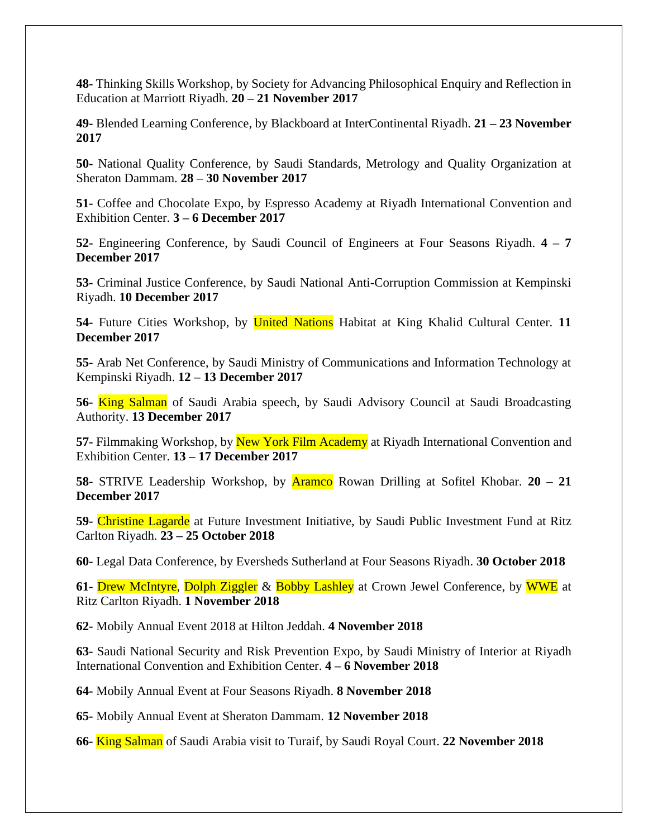**48-** Thinking Skills Workshop, by Society for Advancing Philosophical Enquiry and Reflection in Education at Marriott Riyadh. **20 – 21 November 2017**

**49-** Blended Learning Conference, by Blackboard at InterContinental Riyadh. **21 – 23 November 2017**

**50-** National Quality Conference, by Saudi Standards, Metrology and Quality Organization at Sheraton Dammam. **28 – 30 November 2017**

**51-** Coffee and Chocolate Expo, by Espresso Academy at Riyadh International Convention and Exhibition Center. **3 – 6 December 2017**

**52-** Engineering Conference, by Saudi Council of Engineers at Four Seasons Riyadh. **4 – 7 December 2017**

**53-** Criminal Justice Conference, by Saudi National Anti-Corruption Commission at Kempinski Riyadh. **10 December 2017**

**54-** Future Cities Workshop, by United Nations Habitat at King Khalid Cultural Center. **11 December 2017**

**55-** Arab Net Conference, by Saudi Ministry of Communications and Information Technology at Kempinski Riyadh. **12 – 13 December 2017**

**56-** King Salman of Saudi Arabia speech, by Saudi Advisory Council at Saudi Broadcasting Authority. **13 December 2017**

**57-** Filmmaking Workshop, by New York Film Academy at Riyadh International Convention and Exhibition Center. **13 – 17 December 2017**

**58-** STRIVE Leadership Workshop, by Aramco Rowan Drilling at Sofitel Khobar. **20 – 21 December 2017**

**59-** Christine Lagarde at Future Investment Initiative, by Saudi Public Investment Fund at Ritz Carlton Riyadh. **23 – 25 October 2018**

**60-** Legal Data Conference, by Eversheds Sutherland at Four Seasons Riyadh. **30 October 2018**

**61-** Drew McIntyre, Dolph Ziggler & Bobby Lashley at Crown Jewel Conference, by WWE at Ritz Carlton Riyadh. **1 November 2018** 

**62-** Mobily Annual Event 2018 at Hilton Jeddah. **4 November 2018**

**63-** Saudi National Security and Risk Prevention Expo, by Saudi Ministry of Interior at Riyadh International Convention and Exhibition Center. **4 – 6 November 2018**

**64-** Mobily Annual Event at Four Seasons Riyadh. **8 November 2018**

**65-** Mobily Annual Event at Sheraton Dammam. **12 November 2018**

**66-** King Salman of Saudi Arabia visit to Turaif, by Saudi Royal Court. **22 November 2018**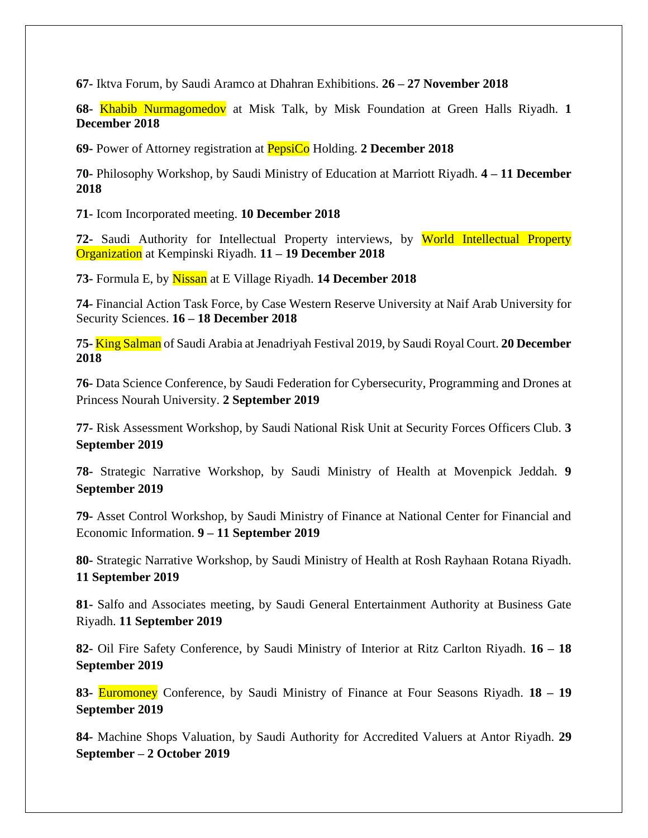**67-** Iktva Forum, by Saudi Aramco at Dhahran Exhibitions. **26 – 27 November 2018**

**68-** Khabib Nurmagomedov at Misk Talk, by Misk Foundation at Green Halls Riyadh. **1 December 2018**

**69-** Power of Attorney registration at PepsiCo Holding. **2 December 2018**

**70-** Philosophy Workshop, by Saudi Ministry of Education at Marriott Riyadh. **4 – 11 December 2018**

**71-** Icom Incorporated meeting. **10 December 2018**

**72-** Saudi Authority for Intellectual Property interviews, by World Intellectual Property Organization at Kempinski Riyadh. **11 – 19 December 2018**

**73-** Formula E, by Nissan at E Village Riyadh. **14 December 2018**

**74-** Financial Action Task Force, by Case Western Reserve University at Naif Arab University for Security Sciences. **16 – 18 December 2018**

**75-** King Salman of Saudi Arabia at Jenadriyah Festival 2019, by Saudi Royal Court. **20 December 2018**

**76-** Data Science Conference, by Saudi Federation for Cybersecurity, Programming and Drones at Princess Nourah University. **2 September 2019**

**77-** Risk Assessment Workshop, by Saudi National Risk Unit at Security Forces Officers Club. **3 September 2019**

**78-** Strategic Narrative Workshop, by Saudi Ministry of Health at Movenpick Jeddah. **9 September 2019**

**79-** Asset Control Workshop, by Saudi Ministry of Finance at National Center for Financial and Economic Information. **9 – 11 September 2019**

**80-** Strategic Narrative Workshop, by Saudi Ministry of Health at Rosh Rayhaan Rotana Riyadh. **11 September 2019**

**81-** Salfo and Associates meeting, by Saudi General Entertainment Authority at Business Gate Riyadh. **11 September 2019**

**82-** Oil Fire Safety Conference, by Saudi Ministry of Interior at Ritz Carlton Riyadh. **16 – 18 September 2019**

**83-** Euromoney Conference, by Saudi Ministry of Finance at Four Seasons Riyadh. **18 – 19 September 2019**

**84-** Machine Shops Valuation, by Saudi Authority for Accredited Valuers at Antor Riyadh. **29 September – 2 October 2019**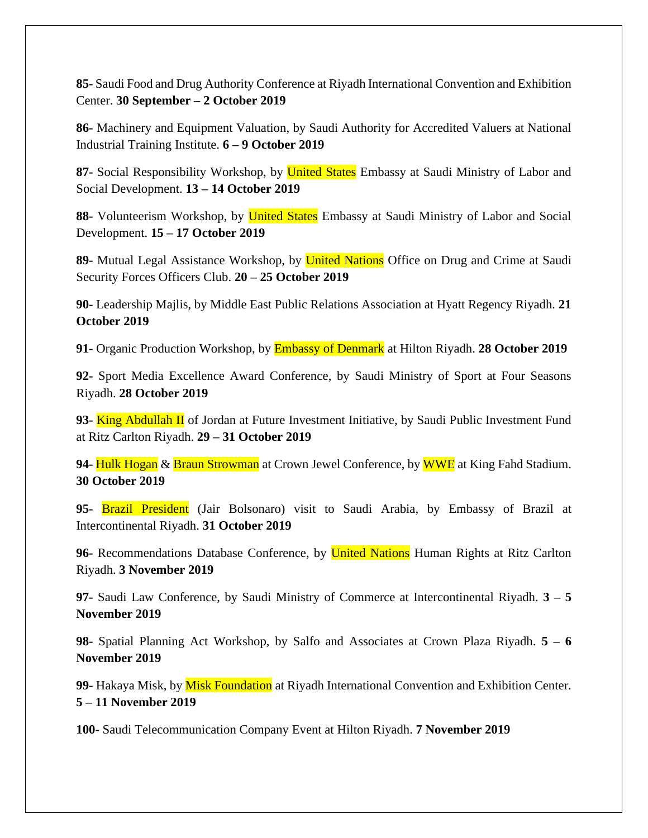**85-** Saudi Food and Drug Authority Conference at Riyadh International Convention and Exhibition Center. **30 September – 2 October 2019**

**86-** Machinery and Equipment Valuation, by Saudi Authority for Accredited Valuers at National Industrial Training Institute. **6 – 9 October 2019**

87- Social Responsibility Workshop, by **United States** Embassy at Saudi Ministry of Labor and Social Development. **13 – 14 October 2019**

**88-** Volunteerism Workshop, by United States Embassy at Saudi Ministry of Labor and Social Development. **15 – 17 October 2019**

**89-** Mutual Legal Assistance Workshop, by United Nations Office on Drug and Crime at Saudi Security Forces Officers Club. **20 – 25 October 2019**

**90-** Leadership Majlis, by Middle East Public Relations Association at Hyatt Regency Riyadh. **21 October 2019**

**91-** Organic Production Workshop, by Embassy of Denmark at Hilton Riyadh. **28 October 2019**

**92-** Sport Media Excellence Award Conference, by Saudi Ministry of Sport at Four Seasons Riyadh. **28 October 2019**

**93-** King Abdullah II of Jordan at Future Investment Initiative, by Saudi Public Investment Fund at Ritz Carlton Riyadh. **29 – 31 October 2019**

**94-** Hulk Hogan & Braun Strowman at Crown Jewel Conference, by WWE at King Fahd Stadium. **30 October 2019**

**95-** Brazil President (Jair Bolsonaro) visit to Saudi Arabia, by Embassy of Brazil at Intercontinental Riyadh. **31 October 2019**

96- Recommendations Database Conference, by **United Nations** Human Rights at Ritz Carlton Riyadh. **3 November 2019**

**97-** Saudi Law Conference, by Saudi Ministry of Commerce at Intercontinental Riyadh. **3 – 5 November 2019**

**98-** Spatial Planning Act Workshop, by Salfo and Associates at Crown Plaza Riyadh. **5 – 6 November 2019**

**99-** Hakaya Misk, by Misk Foundation at Riyadh International Convention and Exhibition Center. **5 – 11 November 2019**

**100-** Saudi Telecommunication Company Event at Hilton Riyadh. **7 November 2019**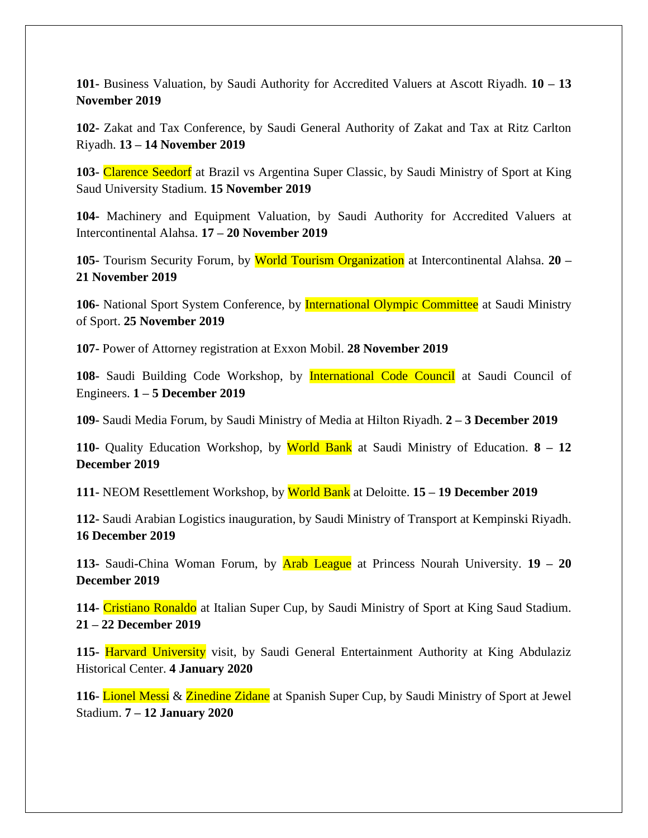**101-** Business Valuation, by Saudi Authority for Accredited Valuers at Ascott Riyadh. **10 – 13 November 2019**

**102-** Zakat and Tax Conference, by Saudi General Authority of Zakat and Tax at Ritz Carlton Riyadh. **13 – 14 November 2019**

**103-** Clarence Seedorf at Brazil vs Argentina Super Classic, by Saudi Ministry of Sport at King Saud University Stadium. **15 November 2019**

**104-** Machinery and Equipment Valuation, by Saudi Authority for Accredited Valuers at Intercontinental Alahsa. **17 – 20 November 2019**

**105-** Tourism Security Forum, by World Tourism Organization at Intercontinental Alahsa. **20 – 21 November 2019**

106- National Sport System Conference, by **International Olympic Committee** at Saudi Ministry of Sport. **25 November 2019**

**107-** Power of Attorney registration at Exxon Mobil. **28 November 2019**

**108-** Saudi Building Code Workshop, by International Code Council at Saudi Council of Engineers. **1 – 5 December 2019**

**109-** Saudi Media Forum, by Saudi Ministry of Media at Hilton Riyadh. **2 – 3 December 2019**

**110-** Quality Education Workshop, by World Bank at Saudi Ministry of Education. **8 – 12 December 2019**

**111-** NEOM Resettlement Workshop, by World Bank at Deloitte. **15 – 19 December 2019**

**112-** Saudi Arabian Logistics inauguration, by Saudi Ministry of Transport at Kempinski Riyadh. **16 December 2019**

**113-** Saudi**-**China Woman Forum, by Arab League at Princess Nourah University. **19 – 20 December 2019**

**114-** Cristiano Ronaldo at Italian Super Cup, by Saudi Ministry of Sport at King Saud Stadium. **21 – 22 December 2019**

**115-** Harvard University visit, by Saudi General Entertainment Authority at King Abdulaziz Historical Center. **4 January 2020**

**116-** Lionel Messi & Zinedine Zidane at Spanish Super Cup, by Saudi Ministry of Sport at Jewel Stadium. **7 – 12 January 2020**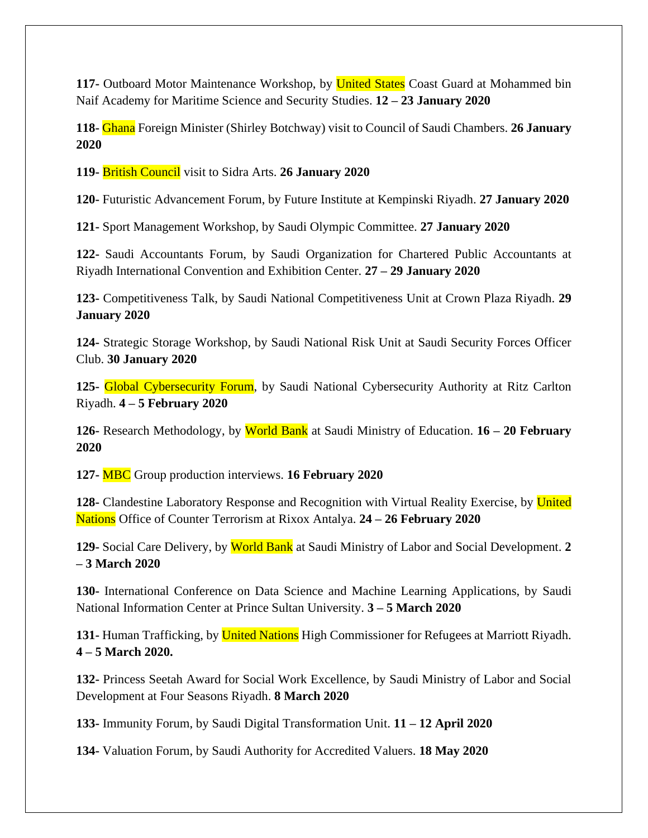**117-** Outboard Motor Maintenance Workshop, by United States Coast Guard at Mohammed bin Naif Academy for Maritime Science and Security Studies. **12 – 23 January 2020**

**118-** Ghana Foreign Minister (Shirley Botchway) visit to Council of Saudi Chambers. **26 January 2020**

**119-** British Council visit to Sidra Arts. **26 January 2020**

**120-** Futuristic Advancement Forum, by Future Institute at Kempinski Riyadh. **27 January 2020**

**121-** Sport Management Workshop, by Saudi Olympic Committee. **27 January 2020**

**122-** Saudi Accountants Forum, by Saudi Organization for Chartered Public Accountants at Riyadh International Convention and Exhibition Center. **27 – 29 January 2020**

**123-** Competitiveness Talk, by Saudi National Competitiveness Unit at Crown Plaza Riyadh. **29 January 2020**

**124-** Strategic Storage Workshop, by Saudi National Risk Unit at Saudi Security Forces Officer Club. **30 January 2020**

**125-** Global Cybersecurity Forum, by Saudi National Cybersecurity Authority at Ritz Carlton Riyadh. **4 – 5 February 2020**

**126-** Research Methodology, by World Bank at Saudi Ministry of Education. **16 – 20 February 2020**

**127-** MBC Group production interviews. **16 February 2020**

**128-** Clandestine Laboratory Response and Recognition with Virtual Reality Exercise, by United Nations Office of Counter Terrorism at Rixox Antalya. **24 – 26 February 2020**

**129-** Social Care Delivery, by World Bank at Saudi Ministry of Labor and Social Development. **2 – 3 March 2020**

**130-** International Conference on Data Science and Machine Learning Applications, by Saudi National Information Center at Prince Sultan University. **3 – 5 March 2020**

**131-** Human Trafficking, by United Nations High Commissioner for Refugees at Marriott Riyadh. **4 – 5 March 2020.**

**132-** Princess Seetah Award for Social Work Excellence, by Saudi Ministry of Labor and Social Development at Four Seasons Riyadh. **8 March 2020**

**133-** Immunity Forum, by Saudi Digital Transformation Unit. **11 – 12 April 2020**

**134-** Valuation Forum, by Saudi Authority for Accredited Valuers. **18 May 2020**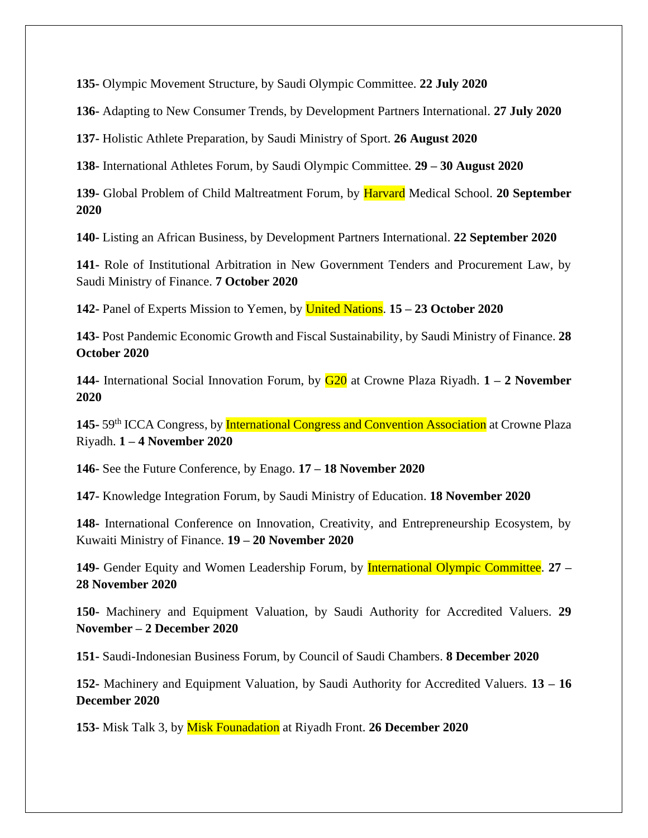**135-** Olympic Movement Structure, by Saudi Olympic Committee. **22 July 2020**

**136-** Adapting to New Consumer Trends, by Development Partners International. **27 July 2020**

**137-** Holistic Athlete Preparation, by Saudi Ministry of Sport. **26 August 2020**

**138-** International Athletes Forum, by Saudi Olympic Committee. **29 – 30 August 2020**

**139-** Global Problem of Child Maltreatment Forum, by Harvard Medical School. **20 September 2020**

**140-** Listing an African Business, by Development Partners International. **22 September 2020**

**141-** Role of Institutional Arbitration in New Government Tenders and Procurement Law, by Saudi Ministry of Finance. **7 October 2020**

**142-** Panel of Experts Mission to Yemen, by United Nations. **15 – 23 October 2020**

**143-** Post Pandemic Economic Growth and Fiscal Sustainability, by Saudi Ministry of Finance. **28 October 2020**

**144-** International Social Innovation Forum, by G20 at Crowne Plaza Riyadh. **1 – 2 November 2020**

145-59<sup>th</sup> ICCA Congress, by **International Congress and Convention Association** at Crowne Plaza Riyadh. **1 – 4 November 2020**

**146-** See the Future Conference, by Enago. **17 – 18 November 2020**

**147-** Knowledge Integration Forum, by Saudi Ministry of Education. **18 November 2020**

**148-** International Conference on Innovation, Creativity, and Entrepreneurship Ecosystem, by Kuwaiti Ministry of Finance. **19 – 20 November 2020**

**149-** Gender Equity and Women Leadership Forum, by International Olympic Committee. **27 – 28 November 2020**

**150-** Machinery and Equipment Valuation, by Saudi Authority for Accredited Valuers. **29 November – 2 December 2020**

**151-** Saudi-Indonesian Business Forum, by Council of Saudi Chambers. **8 December 2020**

**152-** Machinery and Equipment Valuation, by Saudi Authority for Accredited Valuers. **13 – 16 December 2020**

**153-** Misk Talk 3, by Misk Founadation at Riyadh Front. **26 December 2020**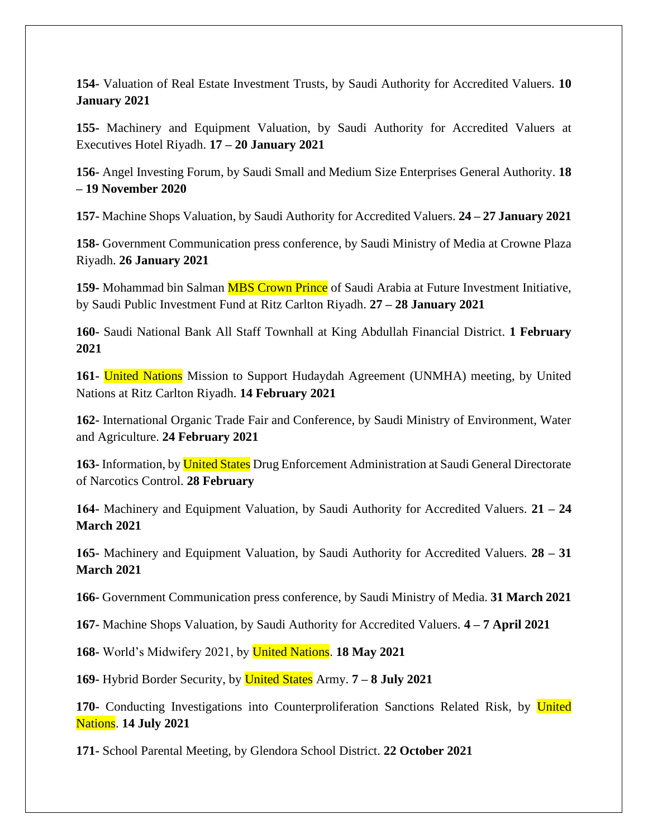**154-** Valuation of Real Estate Investment Trusts, by Saudi Authority for Accredited Valuers. **10 January 2021**

**155-** Machinery and Equipment Valuation, by Saudi Authority for Accredited Valuers at Executives Hotel Riyadh. **17 – 20 January 2021**

**156-** Angel Investing Forum, by Saudi Small and Medium Size Enterprises General Authority. **18 – 19 November 2020**

**157-** Machine Shops Valuation, by Saudi Authority for Accredited Valuers. **24 – 27 January 2021**

**158-** Government Communication press conference, by Saudi Ministry of Media at Crowne Plaza Riyadh. **26 January 2021**

**159-** Mohammad bin Salman MBS Crown Prince of Saudi Arabia at Future Investment Initiative, by Saudi Public Investment Fund at Ritz Carlton Riyadh. **27 – 28 January 2021**

**160-** Saudi National Bank All Staff Townhall at King Abdullah Financial District. **1 February 2021**

**161-** United Nations Mission to Support Hudaydah Agreement (UNMHA) meeting, by United Nations at Ritz Carlton Riyadh. **14 February 2021**

**162-** International Organic Trade Fair and Conference, by Saudi Ministry of Environment, Water and Agriculture. **24 February 2021**

**163-** Information, by United States Drug Enforcement Administration at Saudi General Directorate of Narcotics Control. **28 February**

**164-** Machinery and Equipment Valuation, by Saudi Authority for Accredited Valuers. **21 – 24 March 2021**

**165-** Machinery and Equipment Valuation, by Saudi Authority for Accredited Valuers. **28 – 31 March 2021**

**166-** Government Communication press conference, by Saudi Ministry of Media. **31 March 2021**

**167-** Machine Shops Valuation, by Saudi Authority for Accredited Valuers. **4 – 7 April 2021**

**168-** World's Midwifery 2021, by United Nations. **18 May 2021**

**169-** Hybrid Border Security, by United States Army. **7 – 8 July 2021**

**170-** Conducting Investigations into Counterproliferation Sanctions Related Risk, by United Nations. **14 July 2021**

**171-** School Parental Meeting, by Glendora School District. **22 October 2021**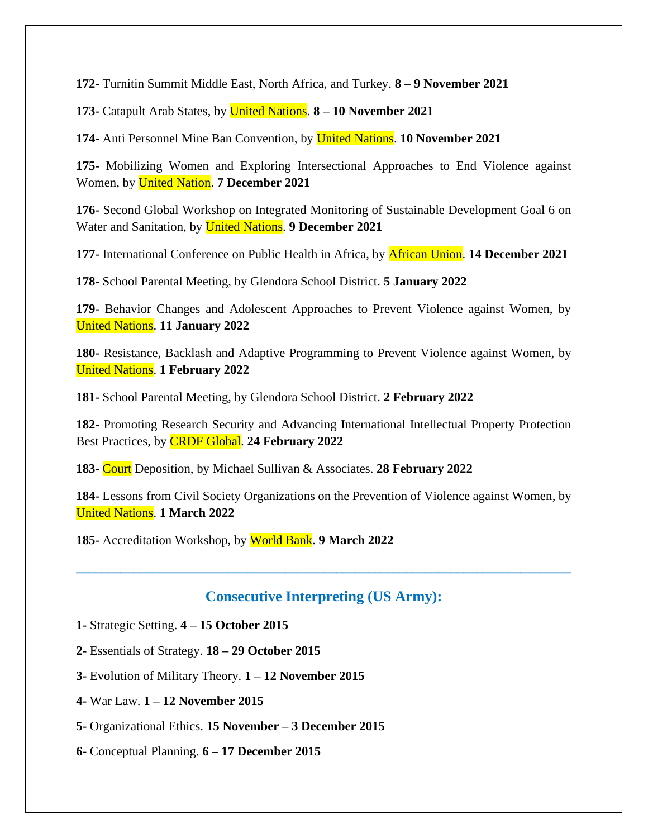**172-** Turnitin Summit Middle East, North Africa, and Turkey. **8 – 9 November 2021**

**173-** Catapult Arab States, by United Nations. **8 – 10 November 2021**

**174-** Anti Personnel Mine Ban Convention, by United Nations. **10 November 2021**

**175-** Mobilizing Women and Exploring Intersectional Approaches to End Violence against Women, by United Nation. **7 December 2021**

**176-** Second Global Workshop on Integrated Monitoring of Sustainable Development Goal 6 on Water and Sanitation, by United Nations. **9 December 2021**

**177-** International Conference on Public Health in Africa, by African Union. **14 December 2021**

**178-** School Parental Meeting, by Glendora School District. **5 January 2022**

**179-** Behavior Changes and Adolescent Approaches to Prevent Violence against Women, by United Nations. **11 January 2022**

**180-** Resistance, Backlash and Adaptive Programming to Prevent Violence against Women, by United Nations. **1 February 2022**

**181-** School Parental Meeting, by Glendora School District. **2 February 2022**

**182-** Promoting Research Security and Advancing International Intellectual Property Protection Best Practices, by CRDF Global. **24 February 2022**

**183-** Court Deposition, by Michael Sullivan & Associates. **28 February 2022**

**184-** Lessons from Civil Society Organizations on the Prevention of Violence against Women, by United Nations. **1 March 2022**

**185-** Accreditation Workshop, by World Bank. **9 March 2022**

#### **Consecutive Interpreting (US Army):**

- **1-** Strategic Setting. **4 – 15 October 2015**
- **2-** Essentials of Strategy. **18 – 29 October 2015**
- **3-** Evolution of Military Theory. **1 – 12 November 2015**
- **4-** War Law. **1 – 12 November 2015**
- **5-** Organizational Ethics. **15 November – 3 December 2015**
- **6-** Conceptual Planning. **6 – 17 December 2015**